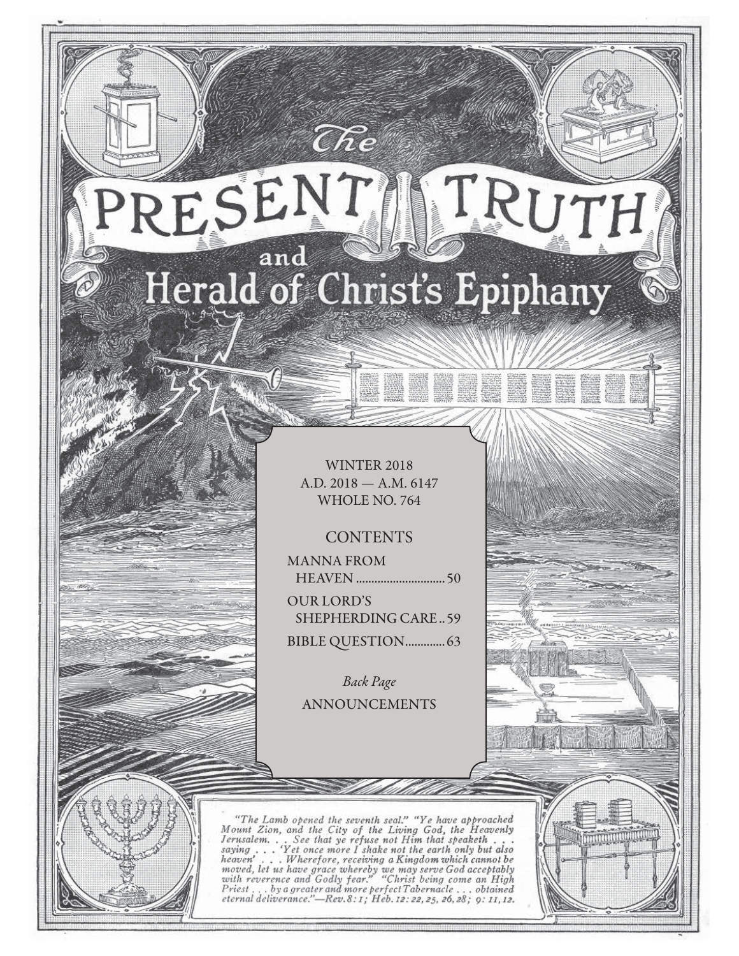# RESENT TRUTH and Herald of Christ's Epiphany

 $\widehat{C}\hspace{-0.6mm}\mathit{\widehat{R}} e$ 

WINTER 2018 A.D. 2018 — A.M. 6147 WHOLE NO. 764

## **CONTENTS**

MANNA FROM HEAVEN ............................. 50

OUR LORD'S SHEPHERDING CARE .. 59 BIBLE QUESTION ................ 63

Back Page ANNOUNCEMENTS

"The Lamb opened the seventh seal." "Ye have approached Mount Zion, and the City of the Living God, the Heavenly Jerusalem... See that ye refuse not Him that speaketh...<br>saying... 'Yet once more I shake not the earth only serusian... See that ye refuse not fit me in the any but also<br>saying ... Wherefore, receiving a Kingdom which cannot be<br>moved, let us have grace whereby we may serve God acceptably<br>with reverence and Godly fear." "Christ b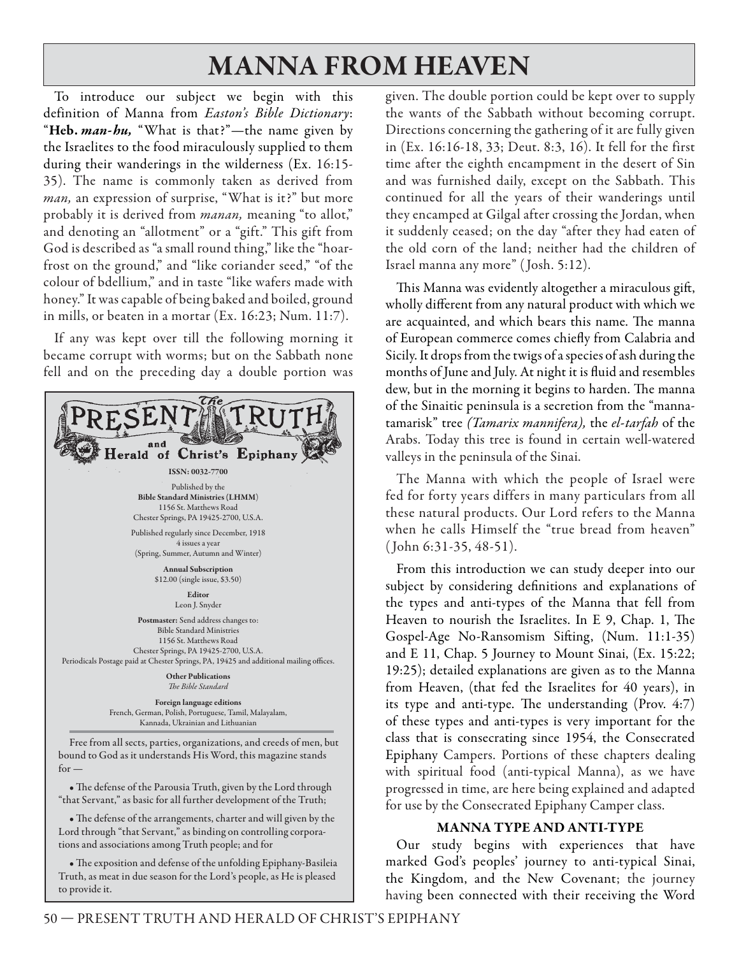## **MANNA FROM HEAVEN**

To introduce our subject we begin with this definition of Manna from Easton's Bible Dictionary: "**Heb.** *man- hu,* "What is that?"—the name given by the Israelites to the food miraculously supplied to them during their wanderings in the wilderness (Ex. 16:15- 35). The name is commonly taken as derived from man, an expression of surprise, "What is it?" but more probably it is derived from *manan*, meaning "to allot," and denoting an "allotment" or a "gift." This gift from God is described as "a small round thing," like the "hoarfrost on the ground," and "like coriander seed," "of the colour of bdellium," and in taste "like wafers made with honey." It was capable of being baked and boiled, ground in mills, or beaten in a mortar (Ex. 16:23; Num. 11:7).

If any was kept over till the following morning it became corrupt with worms; but on the Sabbath none fell and on the preceding day a double portion was



 $for -$ 

• The defense of the Parousia Truth, given by the Lord through "that Servant," as basic for all further development of the Truth;

• The defense of the arrangements, charter and will given by the Lord through "that Servant," as binding on controlling corporations and associations among Truth people; and for

• The exposition and defense of the unfolding Epiphany-Basileia Truth, as meat in due season for the Lord's people, as He is pleased to provide it.

given. The double portion could be kept over to supply the wants of the Sabbath without becoming corrupt. Directions concerning the gathering of it are fully given in (Ex. 16:16-18, 33; Deut. 8:3, 16). It fell for the first time after the eighth encampment in the desert of Sin and was furnished daily, except on the Sabbath. This continued for all the years of their wanderings until they encamped at Gilgal after crossing the Jordan, when it suddenly ceased; on the day "after they had eaten of the old corn of the land; neither had the children of Israel manna any more" ( Josh. 5:12).

This Manna was evidently altogether a miraculous gift, wholly different from any natural product with which we are acquainted, and which bears this name. The manna of European commerce comes chiefly from Calabria and Sicily. It drops from the twigs of a species of ash during the months of June and July. At night it is fluid and resembles dew, but in the morning it begins to harden. The manna of the Sinaitic peninsula is a secretion from the "mannatamarisk" tree *(Tamarix mannifera)*, the *el-tarfah* of the Arabs. Today this tree is found in certain well-watered valleys in the peninsula of the Sinai.

The Manna with which the people of Israel were fed for forty years differs in many particulars from all these natural products. Our Lord refers to the Manna when he calls Himself the "true bread from heaven" ( John 6:31-35, 48-51).

From this introduction we can study deeper into our subject by considering definitions and explanations of the types and anti-types of the Manna that fell from Heaven to nourish the Israelites. In E 9, Chap. 1, The Gospel-Age No-Ransomism Sifting, (Num. 11:1-35) and E 11, Chap. 5 Journey to Mount Sinai, (Ex. 15:22; 19:25); detailed explanations are given as to the Manna from Heaven, (that fed the Israelites for 40 years), in its type and anti-type. The understanding (Prov.  $4:7$ ) of these types and anti-types is very important for the class that is consecrating since 1954, the Consecrated Epiphany Campers. Portions of these chapters dealing with spiritual food (anti-typical Manna), as we have progressed in time, are here being explained and adapted for use by the Consecrated Epiphany Camper class.

### **MANNA TYPE AND ANTI-TYPE**

Our study begins with experiences that have marked God's peoples' journey to anti-typical Sinai, the Kingdom, and the New Covenant; the journey having been connected with their receiving the Word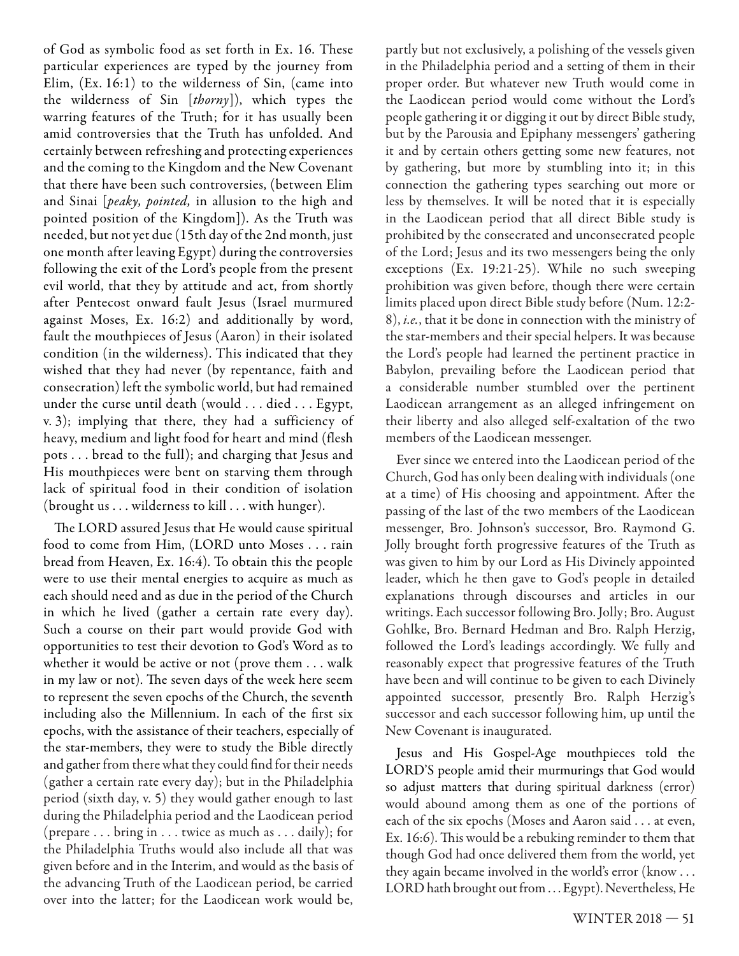of God as symbolic food as set forth in Ex. 16. These particular experiences are typed by the journey from Elim, (Ex. 16:1) to the wilderness of Sin, (came into the wilderness of Sin [thorny]), which types the warring features of the Truth; for it has usually been amid controversies that the Truth has unfolded. And certainly between refreshing and protecting experiences and the coming to the Kingdom and the New Covenant that there have been such controversies, (between Elim and Sinai [peaky, pointed, in allusion to the high and pointed position of the Kingdom]). As the Truth was needed, but not yet due (15th day of the 2nd month, just one month after leaving Egypt) during the controversies following the exit of the Lord's people from the present evil world, that they by attitude and act, from shortly after Pentecost onward fault Jesus (Israel murmured against Moses, Ex. 16:2) and additionally by word, fault the mouthpieces of Jesus (Aaron) in their isolated condition (in the wilderness). This indicated that they wished that they had never (by repentance, faith and consecration) left the symbolic world, but had remained under the curse until death (would . . . died . . . Egypt, v. 3); implying that there, they had a sufficiency of heavy, medium and light food for heart and mind (flesh pots . . . bread to the full); and charging that Jesus and His mouthpieces were bent on starving them through lack of spiritual food in their condition of isolation (brought us . . . wilderness to kill . . . with hunger).

The LORD assured Jesus that He would cause spiritual food to come from Him, (LORD unto Moses . . . rain bread from Heaven, Ex. 16:4). To obtain this the people were to use their mental energies to acquire as much as each should need and as due in the period of the Church in which he lived (gather a certain rate every day). Such a course on their part would provide God with opportunities to test their devotion to God's Word as to whether it would be active or not (prove them . . . walk in my law or not). The seven days of the week here seem to represent the seven epochs of the Church, the seventh including also the Millennium. In each of the first six epochs, with the assistance of their teachers, especially of the star-members, they were to study the Bible directly and gather from there what they could find for their needs (gather a certain rate every day); but in the Philadelphia period (sixth day, v. 5) they would gather enough to last during the Philadelphia period and the Laodicean period (prepare . . . bring in . . . twice as much as . . . daily); for the Philadelphia Truths would also include all that was given before and in the Interim, and would as the basis of the advancing Truth of the Laodicean period, be carried over into the latter; for the Laodicean work would be, partly but not exclusively, a polishing of the vessels given in the Philadelphia period and a setting of them in their proper order. But whatever new Truth would come in the Laodicean period would come without the Lord's people gathering it or digging it out by direct Bible study, but by the Parousia and Epiphany messengers' gathering it and by certain others getting some new features, not by gathering, but more by stumbling into it; in this connection the gathering types searching out more or less by themselves. It will be noted that it is especially in the Laodicean period that all direct Bible study is prohibited by the consecrated and unconsecrated people of the Lord; Jesus and its two messengers being the only exceptions (Ex. 19:21-25). While no such sweeping prohibition was given before, though there were certain limits placed upon direct Bible study before (Num. 12:2- 8), i.e., that it be done in connection with the ministry of the star-members and their special helpers. It was because the Lord's people had learned the pertinent practice in Babylon, prevailing before the Laodicean period that a considerable number stumbled over the pertinent Laodicean arrangement as an alleged infringement on their liberty and also alleged self-exaltation of the two members of the Laodicean messenger.

Ever since we entered into the Laodicean period of the Church, God has only been dealing with individuals (one at a time) of His choosing and appointment. After the passing of the last of the two members of the Laodicean messenger, Bro. Johnson's successor, Bro. Raymond G. Jolly brought forth progressive features of the Truth as was given to him by our Lord as His Divinely appointed leader, which he then gave to God's people in detailed explanations through discourses and articles in our writings. Each successor following Bro. Jolly; Bro. August Gohlke, Bro. Bernard Hedman and Bro. Ralph Herzig, followed the Lord's leadings accordingly. We fully and reasonably expect that progressive features of the Truth have been and will continue to be given to each Divinely appointed successor, presently Bro. Ralph Herzig's successor and each successor following him, up until the New Covenant is inaugurated.

Jesus and His Gospel-Age mouthpieces told the LORD'S people amid their murmurings that God would so adjust matters that during spiritual darkness (error) would abound among them as one of the portions of each of the six epochs (Moses and Aaron said . . . at even, Ex. 16:6). This would be a rebuking reminder to them that though God had once delivered them from the world, yet they again became involved in the world's error (know . . . LORD hath brought out from . . . Egypt). Nevertheless, He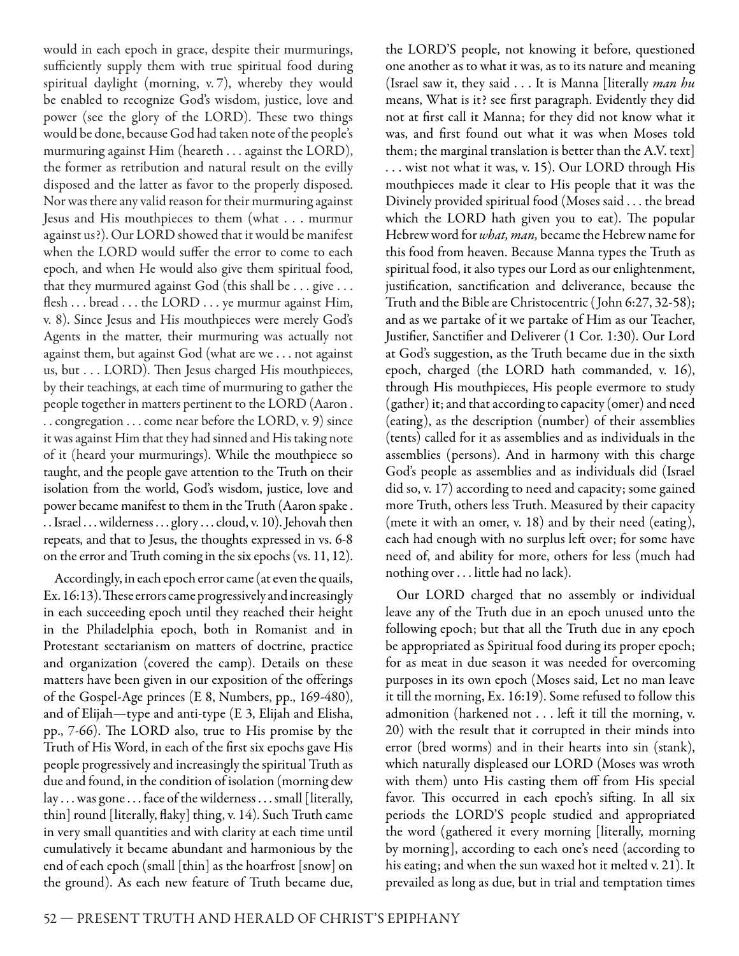would in each epoch in grace, despite their murmurings, sufficiently supply them with true spiritual food during spiritual daylight (morning, v. 7), whereby they would be enabled to recognize God's wisdom, justice, love and power (see the glory of the LORD). These two things would be done, because God had taken note of the people's murmuring against Him (heareth . . . against the LORD), the former as retribution and natural result on the evilly disposed and the latter as favor to the properly disposed. Nor was there any valid reason for their murmuring against Jesus and His mouthpieces to them (what . . . murmur against us?). Our LORD showed that it would be manifest when the LORD would suffer the error to come to each epoch, and when He would also give them spiritual food, that they murmured against God (this shall be . . . give . . . flesh . . . bread . . . the LORD . . . ye murmur against Him, v. 8). Since Jesus and His mouthpieces were merely God's Agents in the matter, their murmuring was actually not against them, but against God (what are we . . . not against us, but . . . LORD). Then Jesus charged His mouthpieces, by their teachings, at each time of murmuring to gather the people together in matters pertinent to the LORD (Aaron . . . congregation . . . come near before the LORD, v. 9) since it was against Him that they had sinned and His taking note of it (heard your murmurings). While the mouthpiece so taught, and the people gave attention to the Truth on their isolation from the world, God's wisdom, justice, love and power became manifest to them in the Truth (Aaron spake . . . Israel . . . wilderness . . . glory . . . cloud, v. 10). Jehovah then repeats, and that to Jesus, the thoughts expressed in vs. 6-8 on the error and Truth coming in the six epochs (vs. 11, 12).

Accordingly, in each epoch error came (at even the quails, Ex. 16:13). These errors came progressively and increasingly in each succeeding epoch until they reached their height in the Philadelphia epoch, both in Romanist and in Protestant sectarianism on matters of doctrine, practice and organization (covered the camp). Details on these matters have been given in our exposition of the offerings of the Gospel-Age princes (E 8, Numbers, pp., 169-480), and of Elijah—type and anti-type (E 3, Elijah and Elisha, pp., 7-66). The LORD also, true to His promise by the Truth of His Word, in each of the first six epochs gave His people progressively and increasingly the spiritual Truth as due and found, in the condition of isolation (morning dew lay . . . was gone . . . face of the wilderness . . . small [literally, thin] round [literally, flaky] thing, v. 14). Such Truth came in very small quantities and with clarity at each time until cumulatively it became abundant and harmonious by the end of each epoch (small [thin] as the hoarfrost [snow] on the ground). As each new feature of Truth became due,

the LORD'S people, not knowing it before, questioned one another as to what it was, as to its nature and meaning (Israel saw it, they said  $\ldots$  It is Manna [literally *man hu* means, What is it? see first paragraph. Evidently they did not at first call it Manna; for they did not know what it was, and first found out what it was when Moses told them; the marginal translation is better than the A.V. text] . . . wist not what it was, v. 15). Our LORD through His mouthpieces made it clear to His people that it was the Divinely provided spiritual food (Moses said . . . the bread which the LORD hath given you to eat). The popular Hebrew word for *what, man*, became the Hebrew name for this food from heaven. Because Manna types the Truth as spiritual food, it also types our Lord as our enlightenment, justification, sanctification and deliverance, because the Truth and the Bible are Christocentric ( John 6:27, 32-58); and as we partake of it we partake of Him as our Teacher, Justifier, Sanctifier and Deliverer (1 Cor. 1:30). Our Lord at God's suggestion, as the Truth became due in the sixth epoch, charged (the LORD hath commanded, v. 16), through His mouthpieces, His people evermore to study (gather) it; and that according to capacity (omer) and need (eating), as the description (number) of their assemblies (tents) called for it as assemblies and as individuals in the assemblies (persons). And in harmony with this charge God's people as assemblies and as individuals did (Israel did so, v. 17) according to need and capacity; some gained more Truth, others less Truth. Measured by their capacity (mete it with an omer, v. 18) and by their need (eating), each had enough with no surplus left over; for some have need of, and ability for more, others for less (much had nothing over . . . little had no lack).

Our LORD charged that no assembly or individual leave any of the Truth due in an epoch unused unto the following epoch; but that all the Truth due in any epoch be appropriated as Spiritual food during its proper epoch; for as meat in due season it was needed for overcoming purposes in its own epoch (Moses said, Let no man leave it till the morning, Ex. 16:19). Some refused to follow this admonition (harkened not . . . left it till the morning, v. 20) with the result that it corrupted in their minds into error (bred worms) and in their hearts into sin (stank), which naturally displeased our LORD (Moses was wroth with them) unto His casting them off from His special favor. This occurred in each epoch's sifting. In all six periods the LORD'S people studied and appropriated the word (gathered it every morning [literally, morning by morning], according to each one's need (according to his eating; and when the sun waxed hot it melted v. 21). It prevailed as long as due, but in trial and temptation times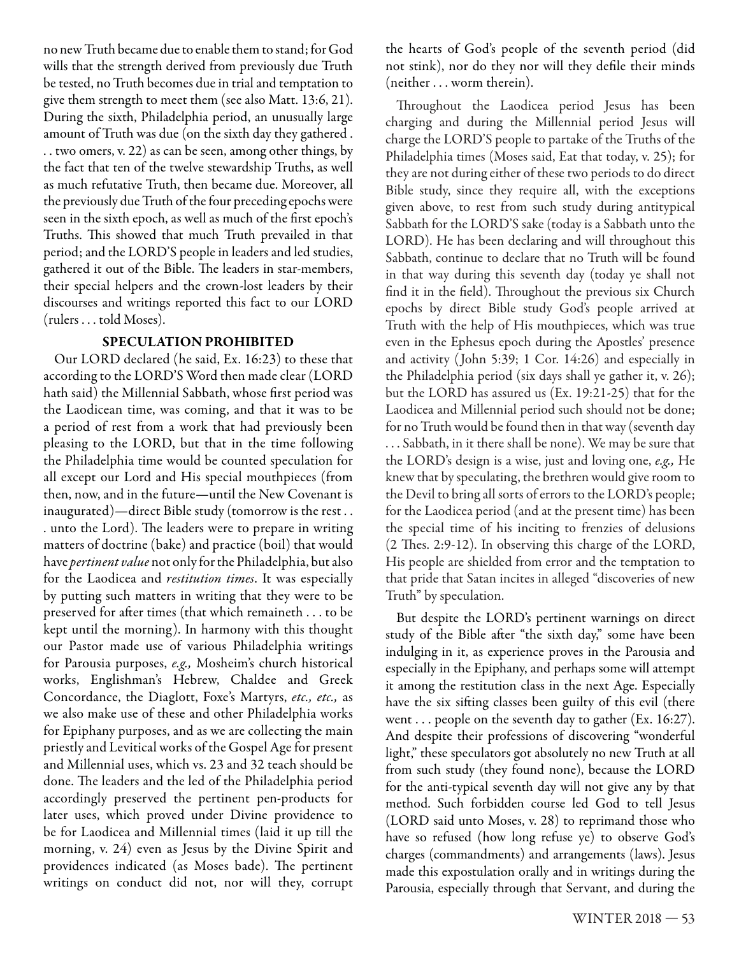no new Truth became due to enable them to stand; for God wills that the strength derived from previously due Truth be tested, no Truth becomes due in trial and temptation to give them strength to meet them (see also Matt. 13:6, 21). During the sixth, Philadelphia period, an unusually large amount of Truth was due (on the sixth day they gathered . . . two omers, v. 22) as can be seen, among other things, by the fact that ten of the twelve stewardship Truths, as well as much refutative Truth, then became due. Moreover, all the previously due Truth of the four preceding epochs were seen in the sixth epoch, as well as much of the first epoch's Truths. This showed that much Truth prevailed in that period; and the LORD'S people in leaders and led studies, gathered it out of the Bible. The leaders in star-members, their special helpers and the crown-lost leaders by their discourses and writings reported this fact to our LORD (rulers . . . told Moses).

#### **SPECULATION PROHIBITED**

Our LORD declared (he said, Ex. 16:23) to these that according to the LORD'S Word then made clear (LORD hath said) the Millennial Sabbath, whose first period was the Laodicean time, was coming, and that it was to be a period of rest from a work that had previously been pleasing to the LORD, but that in the time following the Philadelphia time would be counted speculation for all except our Lord and His special mouthpieces (from then, now, and in the future—until the New Covenant is inaugurated)—direct Bible study (tomorrow is the rest . . . unto the Lord). The leaders were to prepare in writing matters of doctrine (bake) and practice (boil) that would have *pertinent value* not only for the Philadelphia, but also for the Laodicea and restitution times. It was especially by putting such matters in writing that they were to be preserved for after times (that which remaineth . . . to be kept until the morning). In harmony with this thought our Pastor made use of various Philadelphia writings for Parousia purposes, e.g., Mosheim's church historical works, Englishman's Hebrew, Chaldee and Greek Concordance, the Diaglott, Foxe's Martyrs, etc., etc., as we also make use of these and other Philadelphia works for Epiphany purposes, and as we are collecting the main priestly and Levitical works of the Gospel Age for present and Millennial uses, which vs. 23 and 32 teach should be done. The leaders and the led of the Philadelphia period accordingly preserved the pertinent pen-products for later uses, which proved under Divine providence to be for Laodicea and Millennial times (laid it up till the morning, v. 24) even as Jesus by the Divine Spirit and providences indicated (as Moses bade). The pertinent writings on conduct did not, nor will they, corrupt the hearts of God's people of the seventh period (did not stink), nor do they nor will they defile their minds (neither . . . worm therein).

Throughout the Laodicea period Jesus has been charging and during the Millennial period Jesus will charge the LORD'S people to partake of the Truths of the Philadelphia times (Moses said, Eat that today, v. 25); for they are not during either of these two periods to do direct Bible study, since they require all, with the exceptions given above, to rest from such study during antitypical Sabbath for the LORD'S sake (today is a Sabbath unto the LORD). He has been declaring and will throughout this Sabbath, continue to declare that no Truth will be found in that way during this seventh day (today ye shall not find it in the field). Throughout the previous six Church epochs by direct Bible study God's people arrived at Truth with the help of His mouthpieces, which was true even in the Ephesus epoch during the Apostles' presence and activity ( John 5:39; 1 Cor. 14:26) and especially in the Philadelphia period (six days shall ye gather it, v. 26); but the LORD has assured us (Ex. 19:21-25) that for the Laodicea and Millennial period such should not be done; for no Truth would be found then in that way (seventh day . . . Sabbath, in it there shall be none). We may be sure that the LORD's design is a wise, just and loving one, e.g., He knew that by speculating, the brethren would give room to the Devil to bring all sorts of errors to the LORD's people; for the Laodicea period (and at the present time) has been the special time of his inciting to frenzies of delusions  $(2$  Thes. 2:9-12). In observing this charge of the LORD, His people are shielded from error and the temptation to that pride that Satan incites in alleged "discoveries of new Truth" by speculation.

But despite the LORD's pertinent warnings on direct study of the Bible after "the sixth day," some have been indulging in it, as experience proves in the Parousia and especially in the Epiphany, and perhaps some will attempt it among the restitution class in the next Age. Especially have the six sifting classes been guilty of this evil (there went . . . people on the seventh day to gather (Ex. 16:27). And despite their professions of discovering "wonderful light," these speculators got absolutely no new Truth at all from such study (they found none), because the LORD for the anti-typical seventh day will not give any by that method. Such forbidden course led God to tell Jesus (LORD said unto Moses, v. 28) to reprimand those who have so refused (how long refuse ye) to observe God's charges (commandments) and arrangements (laws). Jesus made this expostulation orally and in writings during the Parousia, especially through that Servant, and during the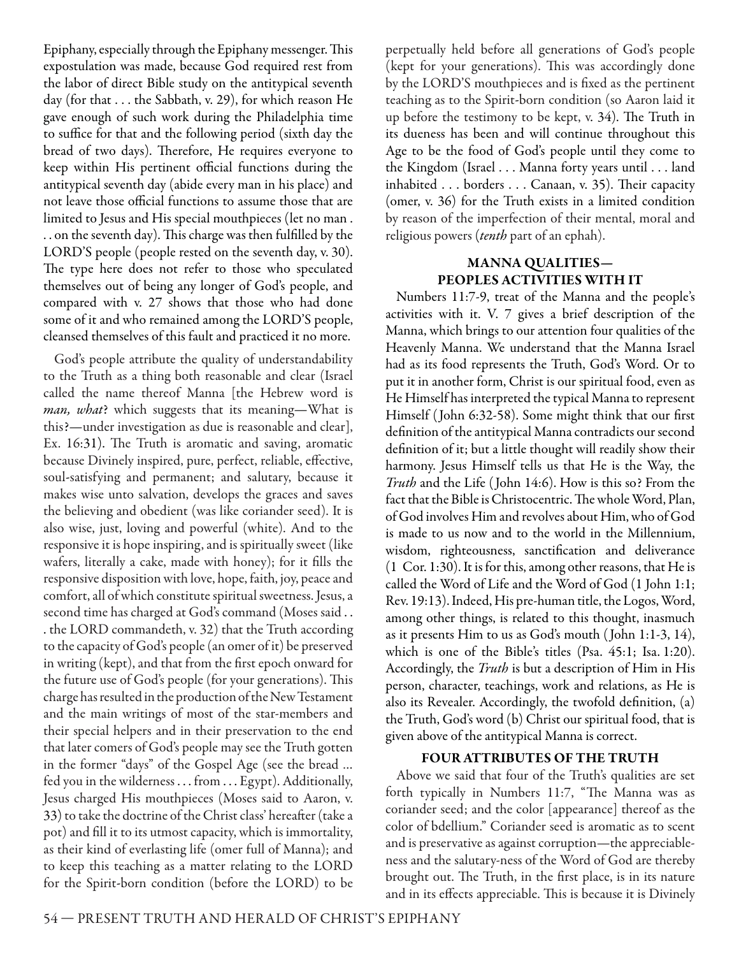Epiphany, especially through the Epiphany messenger. This expostulation was made, because God required rest from the labor of direct Bible study on the antitypical seventh day (for that . . . the Sabbath, v. 29), for which reason He gave enough of such work during the Philadelphia time to suffice for that and the following period (sixth day the bread of two days). Therefore, He requires everyone to keep within His pertinent official functions during the antitypical seventh day (abide every man in his place) and not leave those official functions to assume those that are limited to Jesus and His special mouthpieces (let no man . .. on the seventh day). This charge was then fulfilled by the LORD'S people (people rested on the seventh day, v. 30). The type here does not refer to those who speculated themselves out of being any longer of God's people, and compared with v. 27 shows that those who had done some of it and who remained among the LORD'S people, cleansed themselves of this fault and practiced it no more.

God's people attribute the quality of understandability to the Truth as a thing both reasonable and clear (Israel called the name thereof Manna [the Hebrew word is man, what? which suggests that its meaning-What is this?—under investigation as due is reasonable and clear], Ex. 16:31). The Truth is aromatic and saving, aromatic because Divinely inspired, pure, perfect, reliable, effective, soul-satisfying and permanent; and salutary, because it makes wise unto salvation, develops the graces and saves the believing and obedient (was like coriander seed). It is also wise, just, loving and powerful (white). And to the responsive it is hope inspiring, and is spiritually sweet (like wafers, literally a cake, made with honey); for it fills the responsive disposition with love, hope, faith, joy, peace and comfort, all of which constitute spiritual sweetness. Jesus, a second time has charged at God's command (Moses said . . . the LORD commandeth, v. 32) that the Truth according to the capacity of God's people (an omer of it) be preserved in writing (kept), and that from the first epoch onward for the future use of God's people (for your generations). This charge has resulted in the production of the New Testament and the main writings of most of the star-members and their special helpers and in their preservation to the end that later comers of God's people may see the Truth gotten in the former "days" of the Gospel Age (see the bread … fed you in the wilderness . . . from . . . Egypt). Additionally, Jesus charged His mouthpieces (Moses said to Aaron, v. 33)to take the doctrine of the Christ class' hereafter (take a pot) and fill it to its utmost capacity, which is immortality, as their kind of everlasting life (omer full of Manna); and to keep this teaching as a matter relating to the LORD for the Spirit-born condition (before the LORD) to be

perpetually held before all generations of God's people (kept for your generations). This was accordingly done by the LORD'S mouthpieces and is fixed as the pertinent teaching as to the Spirit-born condition (so Aaron laid it up before the testimony to be kept, v. 34). The Truth in its dueness has been and will continue throughout this Age to be the food of God's people until they come to the Kingdom (Israel . . . Manna forty years until . . . land inhabited . . . borders . . . Canaan, v. 35). Their capacity (omer, v. 36) for the Truth exists in a limited condition by reason of the imperfection of their mental, moral and religious powers (tenth part of an ephah).

#### **MANNA QUALITIES— PEOPLES ACTIVITIES WITH IT**

Numbers 11:7-9, treat of the Manna and the people's activities with it. V. 7 gives a brief description of the Manna, which brings to our attention four qualities of the Heavenly Manna. We understand that the Manna Israel had as its food represents the Truth, God's Word. Or to put it in another form, Christ is our spiritual food, even as He Himself has interpreted the typical Manna to represent Himself (John 6:32-58). Some might think that our first definition of the antitypical Manna contradicts our second definition of it; but a little thought will readily show their harmony. Jesus Himself tells us that He is the Way, the Truth and the Life ( John 14:6). How is this so? From the fact that the Bible is Christocentric. The whole Word, Plan, of God involves Him and revolves about Him, who of God is made to us now and to the world in the Millennium, wisdom, righteousness, sanctification and deliverance (1 Cor. 1:30). It is for this, among other reasons, that He is called the Word of Life and the Word of God (1 John 1:1; Rev. 19:13). Indeed, His pre-human title, the Logos, Word, among other things, is related to this thought, inasmuch as it presents Him to us as God's mouth ( John 1:1-3, 14), which is one of the Bible's titles (Psa. 45:1; Isa. 1:20). Accordingly, the Truth is but a description of Him in His person, character, teachings, work and relations, as He is also its Revealer. Accordingly, the twofold definition, (a) the Truth, God's word (b) Christ our spiritual food, that is given above of the antitypical Manna is correct.

#### **FOUR ATTRIBUTES OF THE TRUTH**

Above we said that four of the Truth's qualities are set forth typically in Numbers 11:7, "The Manna was as coriander seed; and the color [appearance] thereof as the color of bdellium." Coriander seed is aromatic as to scent and is preservative as against corruption—the appreciableness and the salutary-ness of the Word of God are thereby brought out. The Truth, in the first place, is in its nature and in its effects appreciable. This is because it is Divinely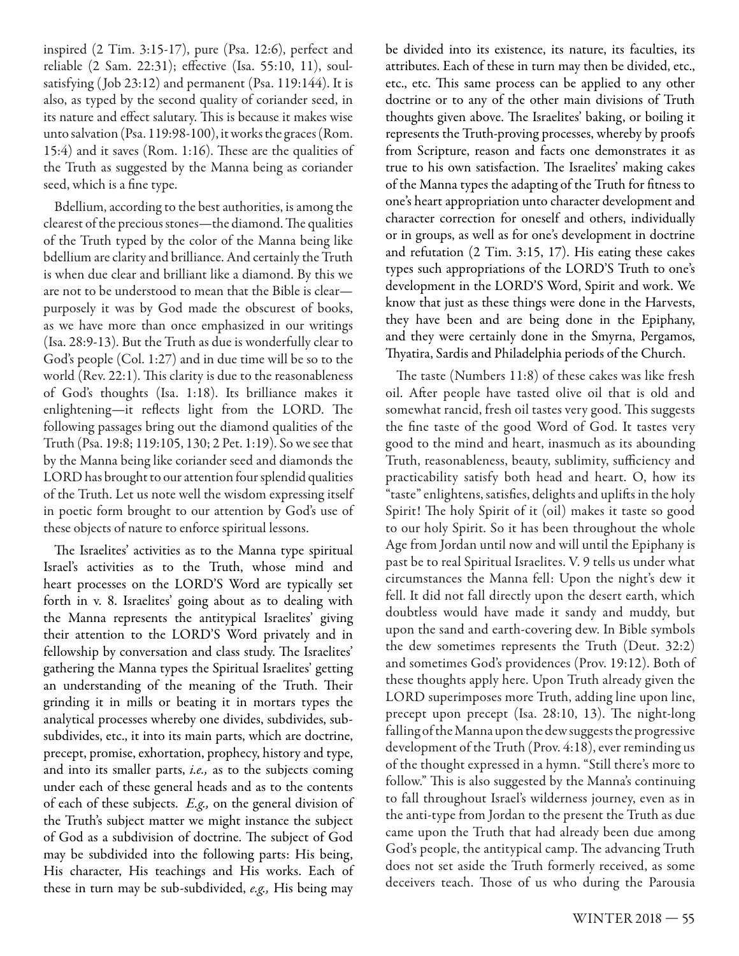inspired (2 Tim. 3:15-17), pure (Psa. 12:6), perfect and reliable (2 Sam. 22:31); effective (Isa. 55:10, 11), soulsatisfying (Job 23:12) and permanent (Psa. 119:144). It is also, as typed by the second quality of coriander seed, in its nature and effect salutary. This is because it makes wise unto salvation (Psa. 119:98-100), it works the graces (Rom. 15:4) and it saves (Rom. 1:16). These are the qualities of the Truth as suggested by the Manna being as coriander seed, which is a fine type.

Bdellium, according to the best authorities, is among the clearest of the precious stones—the diamond. The qualities of the Truth typed by the color of the Manna being like bdellium are clarity and brilliance. And certainly the Truth is when due clear and brilliant like a diamond. By this we are not to be understood to mean that the Bible is clear purposely it was by God made the obscurest of books, as we have more than once emphasized in our writings (Isa. 28:9-13). But the Truth as due is wonderfully clear to God's people (Col. 1:27) and in due time will be so to the world (Rev.  $22:1$ ). This clarity is due to the reasonableness of God's thoughts (Isa. 1:18). Its brilliance makes it enlightening—it reflects light from the LORD. The following passages bring out the diamond qualities of the Truth (Psa. 19:8; 119:105, 130; 2 Pet. 1:19). So we see that by the Manna being like coriander seed and diamonds the LORD has brought to our attention four splendid qualities of the Truth. Let us note well the wisdom expressing itself in poetic form brought to our attention by God's use of these objects of nature to enforce spiritual lessons.

The Israelites' activities as to the Manna type spiritual Israel's activities as to the Truth, whose mind and heart processes on the LORD'S Word are typically set forth in v. 8. Israelites' going about as to dealing with the Manna represents the antitypical Israelites' giving their attention to the LORD'S Word privately and in fellowship by conversation and class study. The Israelites' gathering the Manna types the Spiritual Israelites' getting an understanding of the meaning of the Truth. Their grinding it in mills or beating it in mortars types the analytical processes whereby one divides, subdivides, subsubdivides, etc., it into its main parts, which are doctrine, precept, promise, exhortation, prophecy, history and type, and into its smaller parts, *i.e.*, as to the subjects coming under each of these general heads and as to the contents of each of these subjects. E.g., on the general division of the Truth's subject matter we might instance the subject of God as a subdivision of doctrine. The subject of God may be subdivided into the following parts: His being, His character, His teachings and His works. Each of these in turn may be sub-subdivided, e.g., His being may

be divided into its existence, its nature, its faculties, its attributes. Each of these in turn may then be divided, etc., etc., etc. This same process can be applied to any other doctrine or to any of the other main divisions of Truth thoughts given above. The Israelites' baking, or boiling it represents the Truth-proving processes, whereby by proofs from Scripture, reason and facts one demonstrates it as true to his own satisfaction. The Israelites' making cakes of the Manna types the adapting of the Truth for fitness to one's heart appropriation unto character development and character correction for oneself and others, individually or in groups, as well as for one's development in doctrine and refutation (2 Tim. 3:15, 17). His eating these cakes types such appropriations of the LORD'S Truth to one's development in the LORD'S Word, Spirit and work. We know that just as these things were done in the Harvests, they have been and are being done in the Epiphany, and they were certainly done in the Smyrna, Pergamos, Thyatira, Sardis and Philadelphia periods of the Church.

The taste (Numbers 11:8) of these cakes was like fresh oil. After people have tasted olive oil that is old and somewhat rancid, fresh oil tastes very good. This suggests the fine taste of the good Word of God. It tastes very good to the mind and heart, inasmuch as its abounding Truth, reasonableness, beauty, sublimity, sufficiency and practicability satisfy both head and heart. O, how its "taste" enlightens, satisfies, delights and uplifts in the holy Spirit! The holy Spirit of it (oil) makes it taste so good to our holy Spirit. So it has been throughout the whole Age from Jordan until now and will until the Epiphany is past be to real Spiritual Israelites. V. 9 tells us under what circumstances the Manna fell: Upon the night's dew it fell. It did not fall directly upon the desert earth, which doubtless would have made it sandy and muddy, but upon the sand and earth-covering dew. In Bible symbols the dew sometimes represents the Truth (Deut. 32:2) and sometimes God's providences (Prov. 19:12). Both of these thoughts apply here. Upon Truth already given the LORD superimposes more Truth, adding line upon line, precept upon precept (Isa.  $28:10$ , 13). The night-long falling of the Manna upon the dew suggests the progressive development of the Truth (Prov. 4:18), ever reminding us of the thought expressed in a hymn. "Still there's more to follow." This is also suggested by the Manna's continuing to fall throughout Israel's wilderness journey, even as in the anti-type from Jordan to the present the Truth as due came upon the Truth that had already been due among God's people, the antitypical camp. The advancing Truth does not set aside the Truth formerly received, as some deceivers teach. Those of us who during the Parousia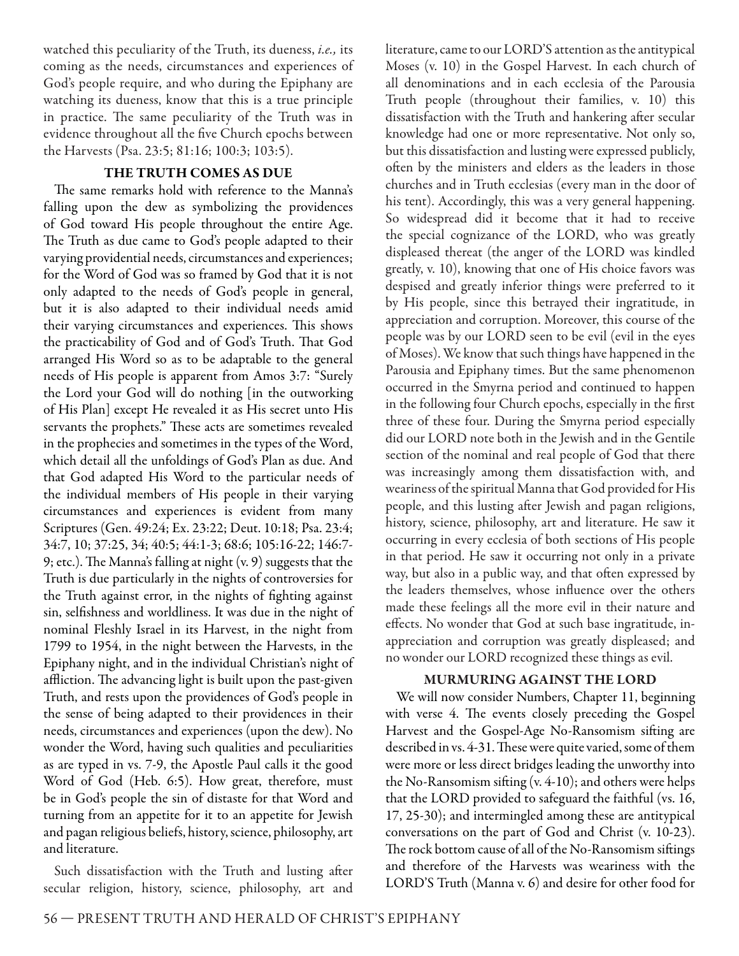watched this peculiarity of the Truth, its dueness, i.e., its coming as the needs, circumstances and experiences of God's people require, and who during the Epiphany are watching its dueness, know that this is a true principle in practice. The same peculiarity of the Truth was in evidence throughout all the five Church epochs between the Harvests (Psa. 23:5; 81:16; 100:3; 103:5).

#### **THE TRUTH COMES AS DUE**

The same remarks hold with reference to the Manna's falling upon the dew as symbolizing the providences of God toward His people throughout the entire Age. The Truth as due came to God's people adapted to their varying providential needs, circumstances and experiences; for the Word of God was so framed by God that it is not only adapted to the needs of God's people in general, but it is also adapted to their individual needs amid their varying circumstances and experiences. This shows the practicability of God and of God's Truth. That God arranged His Word so as to be adaptable to the general needs of His people is apparent from Amos 3:7: "Surely the Lord your God will do nothing [in the outworking of His Plan] except He revealed it as His secret unto His servants the prophets." These acts are sometimes revealed in the prophecies and sometimes in the types of the Word, which detail all the unfoldings of God's Plan as due. And that God adapted His Word to the particular needs of the individual members of His people in their varying circumstances and experiences is evident from many Scriptures (Gen. 49:24; Ex. 23:22; Deut. 10:18; Psa. 23:4; 34:7, 10; 37:25, 34; 40:5; 44:1-3; 68:6; 105:16-22; 146:7- 9; etc.). The Manna's falling at night  $(v, 9)$  suggests that the Truth is due particularly in the nights of controversies for the Truth against error, in the nights of fighting against sin, selfishness and worldliness. It was due in the night of nominal Fleshly Israel in its Harvest, in the night from 1799 to 1954, in the night between the Harvests, in the Epiphany night, and in the individual Christian's night of affliction. The advancing light is built upon the past-given Truth, and rests upon the providences of God's people in the sense of being adapted to their providences in their needs, circumstances and experiences (upon the dew). No wonder the Word, having such qualities and peculiarities as are typed in vs. 7-9, the Apostle Paul calls it the good Word of God (Heb. 6:5). How great, therefore, must be in God's people the sin of distaste for that Word and turning from an appetite for it to an appetite for Jewish and pagan religious beliefs, history, science, philosophy, art and literature.

Such dissatisfaction with the Truth and lusting after secular religion, history, science, philosophy, art and

literature, came to our LORD'S attention as the antitypical Moses (v. 10) in the Gospel Harvest. In each church of all denominations and in each ecclesia of the Parousia Truth people (throughout their families, v. 10) this dissatisfaction with the Truth and hankering after secular knowledge had one or more representative. Not only so, but this dissatisfaction and lusting were expressed publicly, often by the ministers and elders as the leaders in those churches and in Truth ecclesias (every man in the door of his tent). Accordingly, this was a very general happening. So widespread did it become that it had to receive the special cognizance of the LORD, who was greatly displeased thereat (the anger of the LORD was kindled greatly, v. 10), knowing that one of His choice favors was despised and greatly inferior things were preferred to it by His people, since this betrayed their ingratitude, in appreciation and corruption. Moreover, this course of the people was by our LORD seen to be evil (evil in the eyes of Moses). We know that such things have happened in the Parousia and Epiphany times. But the same phenomenon occurred in the Smyrna period and continued to happen in the following four Church epochs, especially in the first three of these four. During the Smyrna period especially did our LORD note both in the Jewish and in the Gentile section of the nominal and real people of God that there was increasingly among them dissatisfaction with, and weariness of the spiritual Manna that God provided for His people, and this lusting after Jewish and pagan religions, history, science, philosophy, art and literature. He saw it occurring in every ecclesia of both sections of His people in that period. He saw it occurring not only in a private way, but also in a public way, and that often expressed by the leaders themselves, whose influence over the others made these feelings all the more evil in their nature and effects. No wonder that God at such base ingratitude, inappreciation and corruption was greatly displeased; and no wonder our LORD recognized these things as evil.

#### **MURMURING AGAINST THE LORD**

We will now consider Numbers, Chapter 11, beginning with verse 4. The events closely preceding the Gospel Harvest and the Gospel-Age No-Ransomism sifting are described in vs. 4-31. These were quite varied, some of them were more or less direct bridges leading the unworthy into the No-Ransomism sifting  $(v. 4-10)$ ; and others were helps that the LORD provided to safeguard the faithful (vs. 16, 17, 25-30); and intermingled among these are antitypical conversations on the part of God and Christ (v. 10-23). The rock bottom cause of all of the No-Ransomism siftings and therefore of the Harvests was weariness with the LORD'S Truth (Manna v. 6) and desire for other food for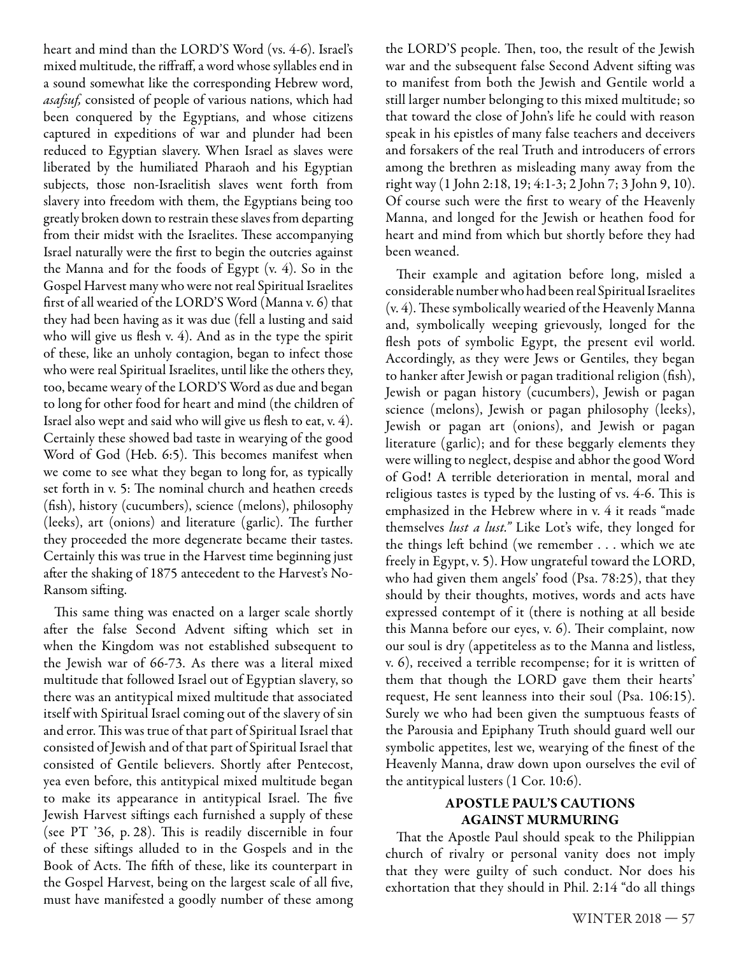heart and mind than the LORD'S Word (vs. 4-6). Israel's mixed multitude, the riffraff, a word whose syllables end in a sound somewhat like the corresponding Hebrew word, asafsuf, consisted of people of various nations, which had been conquered by the Egyptians, and whose citizens captured in expeditions of war and plunder had been reduced to Egyptian slavery. When Israel as slaves were liberated by the humiliated Pharaoh and his Egyptian subjects, those non-Israelitish slaves went forth from slavery into freedom with them, the Egyptians being too greatly broken down to restrain these slaves from departing from their midst with the Israelites. These accompanying Israel naturally were the first to begin the outcries against the Manna and for the foods of Egypt (v. 4). So in the Gospel Harvest many who were not real Spiritual Israelites first of all wearied of the LORD'S Word (Manna v. 6) that they had been having as it was due (fell a lusting and said who will give us flesh v.  $4$ ). And as in the type the spirit of these, like an unholy contagion, began to infect those who were real Spiritual Israelites, until like the others they, too, became weary of the LORD'S Word as due and began to long for other food for heart and mind (the children of Israel also wept and said who will give us flesh to eat,  $v. 4$ ). Certainly these showed bad taste in wearying of the good Word of God (Heb. 6:5). This becomes manifest when we come to see what they began to long for, as typically set forth in v. 5: The nominal church and heathen creeds (fish), history (cucumbers), science (melons), philosophy (leeks), art (onions) and literature (garlic). The further they proceeded the more degenerate became their tastes. Certainly this was true in the Harvest time beginning just after the shaking of 1875 antecedent to the Harvest's No-Ransom sifting.

This same thing was enacted on a larger scale shortly after the false Second Advent sifting which set in when the Kingdom was not established subsequent to the Jewish war of 66-73. As there was a literal mixed multitude that followed Israel out of Egyptian slavery, so there was an antitypical mixed multitude that associated itself with Spiritual Israel coming out of the slavery of sin and error. This was true of that part of Spiritual Israel that consisted of Jewish and of that part of Spiritual Israel that consisted of Gentile believers. Shortly after Pentecost, yea even before, this antitypical mixed multitude began to make its appearance in antitypical Israel. The five Jewish Harvest siftings each furnished a supply of these (see  $PT$  '36, p. 28). This is readily discernible in four of these siftings alluded to in the Gospels and in the Book of Acts. The fifth of these, like its counterpart in the Gospel Harvest, being on the largest scale of all five, must have manifested a goodly number of these among the LORD'S people. Then, too, the result of the Jewish war and the subsequent false Second Advent sifting was to manifest from both the Jewish and Gentile world a still larger number belonging to this mixed multitude; so that toward the close of John's life he could with reason speak in his epistles of many false teachers and deceivers and forsakers of the real Truth and introducers of errors among the brethren as misleading many away from the right way (1 John 2:18, 19; 4:1-3; 2 John 7; 3 John 9, 10). Of course such were the first to weary of the Heavenly Manna, and longed for the Jewish or heathen food for heart and mind from which but shortly before they had been weaned.

Their example and agitation before long, misled a considerable number who had been real Spiritual Israelites  $(v. 4)$ . These symbolically wearied of the Heavenly Manna and, symbolically weeping grievously, longed for the flesh pots of symbolic Egypt, the present evil world. Accordingly, as they were Jews or Gentiles, they began to hanker after Jewish or pagan traditional religion (fish), Jewish or pagan history (cucumbers), Jewish or pagan science (melons), Jewish or pagan philosophy (leeks), Jewish or pagan art (onions), and Jewish or pagan literature (garlic); and for these beggarly elements they were willing to neglect, despise and abhor the good Word of God! A terrible deterioration in mental, moral and religious tastes is typed by the lusting of vs. 4-6. This is emphasized in the Hebrew where in v. 4 it reads "made themselves lust a lust." Like Lot's wife, they longed for the things left behind (we remember . . . which we ate freely in Egypt, v. 5). How ungrateful toward the LORD, who had given them angels' food (Psa. 78:25), that they should by their thoughts, motives, words and acts have expressed contempt of it (there is nothing at all beside this Manna before our eyes, v. 6). Their complaint, now our soul is dry (appetiteless as to the Manna and listless, v. 6), received a terrible recompense; for it is written of them that though the LORD gave them their hearts' request, He sent leanness into their soul (Psa. 106:15). Surely we who had been given the sumptuous feasts of the Parousia and Epiphany Truth should guard well our symbolic appetites, lest we, wearying of the finest of the Heavenly Manna, draw down upon ourselves the evil of the antitypical lusters (1 Cor. 10:6).

#### **APOSTLE PAUL'S CAUTIONS AGAINST MURMURING**

That the Apostle Paul should speak to the Philippian church of rivalry or personal vanity does not imply that they were guilty of such conduct. Nor does his exhortation that they should in Phil. 2:14 "do all things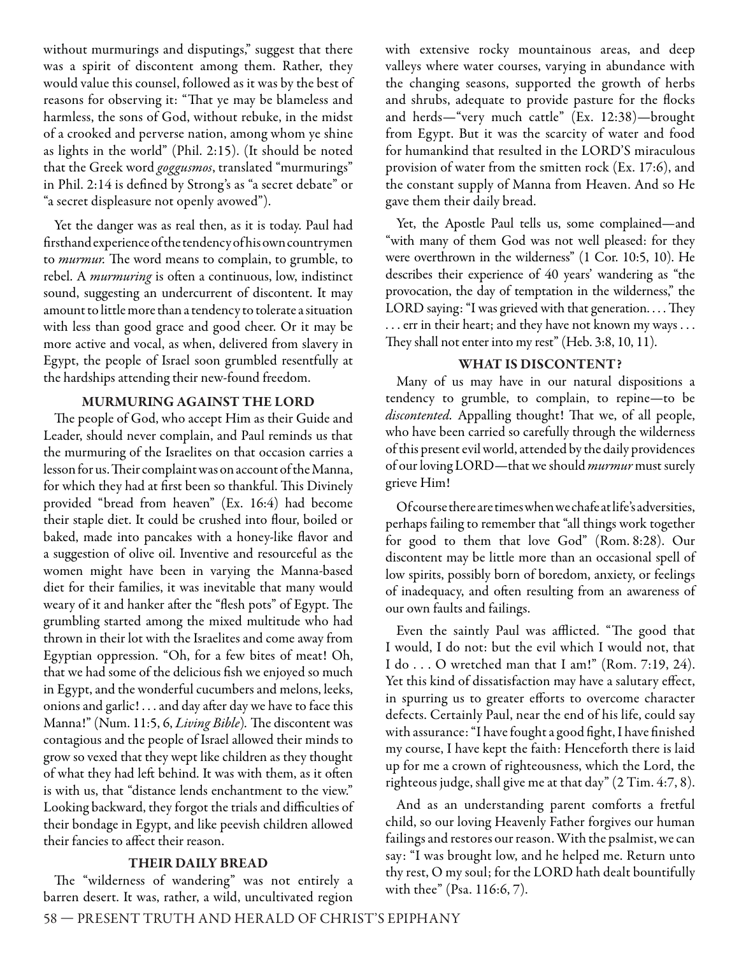without murmurings and disputings," suggest that there was a spirit of discontent among them. Rather, they would value this counsel, followed as it was by the best of reasons for observing it: "That ye may be blameless and harmless, the sons of God, without rebuke, in the midst of a crooked and perverse nation, among whom ye shine as lights in the world" (Phil. 2:15). (It should be noted that the Greek word *goggusmos*, translated "murmurings" in Phil. 2:14 is defined by Strong's as "a secret debate" or "a secret displeasure not openly avowed").

Yet the danger was as real then, as it is today. Paul had fi rsthand experience of the tendency of his own countrymen to murmur. The word means to complain, to grumble, to rebel. A *murmuring* is often a continuous, low, indistinct sound, suggesting an undercurrent of discontent. It may amount to little more than a tendency to tolerate a situation with less than good grace and good cheer. Or it may be more active and vocal, as when, delivered from slavery in Egypt, the people of Israel soon grumbled resentfully at the hardships attending their new-found freedom.

#### **MURMURING AGAINST THE LORD**

The people of God, who accept Him as their Guide and Leader, should never complain, and Paul reminds us that the murmuring of the Israelites on that occasion carries a lesson for us. Their complaint was on account of the Manna, for which they had at first been so thankful. This Divinely provided "bread from heaven" (Ex. 16:4) had become their staple diet. It could be crushed into flour, boiled or baked, made into pancakes with a honey-like flavor and a suggestion of olive oil. Inventive and resourceful as the women might have been in varying the Manna-based diet for their families, it was inevitable that many would weary of it and hanker after the "flesh pots" of Egypt. The grumbling started among the mixed multitude who had thrown in their lot with the Israelites and come away from Egyptian oppression. "Oh, for a few bites of meat! Oh, that we had some of the delicious fish we enjoyed so much in Egypt, and the wonderful cucumbers and melons, leeks, onions and garlic!... and day after day we have to face this Manna!" (Num. 11:5, 6, Living Bible). The discontent was contagious and the people of Israel allowed their minds to grow so vexed that they wept like children as they thought of what they had left behind. It was with them, as it often is with us, that "distance lends enchantment to the view." Looking backward, they forgot the trials and difficulties of their bondage in Egypt, and like peevish children allowed their fancies to affect their reason.

#### **THEIR DAILY BREAD**

The "wilderness of wandering" was not entirely a barren desert. It was, rather, a wild, uncultivated region with extensive rocky mountainous areas, and deep valleys where water courses, varying in abundance with the changing seasons, supported the growth of herbs and shrubs, adequate to provide pasture for the flocks and herds—"very much cattle" (Ex. 12:38)—brought from Egypt. But it was the scarcity of water and food for humankind that resulted in the LORD'S miraculous provision of water from the smitten rock (Ex. 17:6), and the constant supply of Manna from Heaven. And so He gave them their daily bread.

Yet, the Apostle Paul tells us, some complained—and "with many of them God was not well pleased: for they were overthrown in the wilderness" (1 Cor. 10:5, 10). He describes their experience of 40 years' wandering as "the provocation, the day of temptation in the wilderness," the LORD saying: "I was grieved with that generation.... They . . . err in their heart; and they have not known my ways . . . They shall not enter into my rest" (Heb. 3:8, 10, 11).

#### **WHAT IS DISCONTENT?**

Many of us may have in our natural dispositions a tendency to grumble, to complain, to repine—to be discontented. Appalling thought! That we, of all people, who have been carried so carefully through the wilderness of this present evil world, attended by the daily providences of our loving LORD—that we should murmur must surely grieve Him!

Of course there are times when we chafe at life's adversities, perhaps failing to remember that "all things work together for good to them that love God" (Rom. 8:28). Our discontent may be little more than an occasional spell of low spirits, possibly born of boredom, anxiety, or feelings of inadequacy, and often resulting from an awareness of our own faults and failings.

Even the saintly Paul was afflicted. "The good that I would, I do not: but the evil which I would not, that I do . . . O wretched man that I am!" (Rom. 7:19, 24). Yet this kind of dissatisfaction may have a salutary effect, in spurring us to greater efforts to overcome character defects. Certainly Paul, near the end of his life, could say with assurance: "I have fought a good fight, I have finished my course, I have kept the faith: Henceforth there is laid up for me a crown of righteousness, which the Lord, the righteous judge, shall give me at that day" (2 Tim. 4:7, 8).

And as an understanding parent comforts a fretful child, so our loving Heavenly Father forgives our human failings and restores our reason. With the psalmist, we can say: "I was brought low, and he helped me. Return unto thy rest, O my soul; for the LORD hath dealt bountifully with thee" (Psa. 116:6, 7).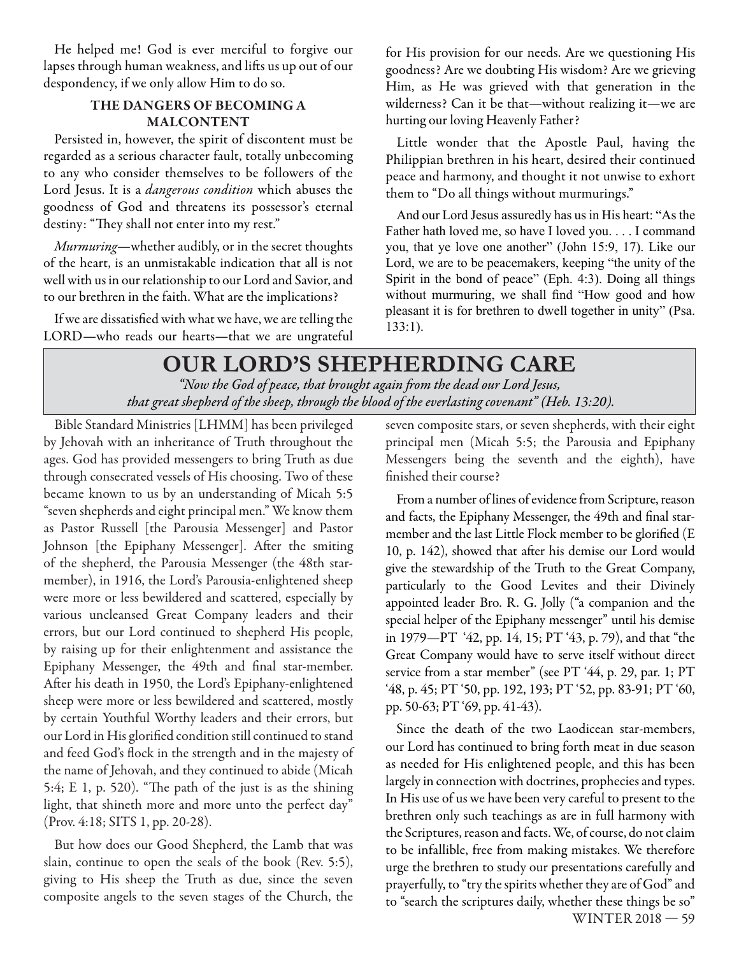He helped me! God is ever merciful to forgive our lapses through human weakness, and lifts us up out of our despondency, if we only allow Him to do so.

#### **THE DANGERS OF BECOMING A MALCONTENT**

Persisted in, however, the spirit of discontent must be regarded as a serious character fault, totally unbecoming to any who consider themselves to be followers of the Lord Jesus. It is a *dangerous condition* which abuses the goodness of God and threatens its possessor's eternal destiny: "They shall not enter into my rest."

Murmuring-whether audibly, or in the secret thoughts of the heart, is an unmistakable indication that all is not well with us in our relationship to our Lord and Savior, and to our brethren in the faith. What are the implications?

If we are dissatisfied with what we have, we are telling the LORD—who reads our hearts—that we are ungrateful

for His provision for our needs. Are we questioning His goodness? Are we doubting His wisdom? Are we grieving Him, as He was grieved with that generation in the wilderness? Can it be that—without realizing it—we are hurting our loving Heavenly Father?

Little wonder that the Apostle Paul, having the Philippian brethren in his heart, desired their continued peace and harmony, and thought it not unwise to exhort them to "Do all things without murmurings."

And our Lord Jesus assuredly has us in His heart: "As the Father hath loved me, so have I loved you. . . . I command you, that ye love one another" (John 15:9, 17). Like our Lord, we are to be peacemakers, keeping "the unity of the Spirit in the bond of peace" (Eph. 4:3). Doing all things without murmuring, we shall find "How good and how pleasant it is for brethren to dwell together in unity" (Psa. 133:1).

## **OUR LORD'S SHEPHERDING CARE**  *"Now the God of peace, that brought again fr om the dead our Lord Jesus, that great shepherd of the sheep, through the blood of the everlasting covenant" (Heb. 13:20).*

Bible Standard Ministries [LHMM] has been privileged by Jehovah with an inheritance of Truth throughout the ages. God has provided messengers to bring Truth as due through consecrated vessels of His choosing. Two of these became known to us by an understanding of Micah 5:5 "seven shepherds and eight principal men." We know them as Pastor Russell [the Parousia Messenger] and Pastor Johnson [the Epiphany Messenger]. After the smiting of the shepherd, the Parousia Messenger (the 48th starmember), in 1916, the Lord's Parousia-enlightened sheep were more or less bewildered and scattered, especially by various uncleansed Great Company leaders and their errors, but our Lord continued to shepherd His people, by raising up for their enlightenment and assistance the Epiphany Messenger, the 49th and final star-member. After his death in 1950, the Lord's Epiphany-enlightened sheep were more or less bewildered and scattered, mostly by certain Youthful Worthy leaders and their errors, but our Lord in His glorified condition still continued to stand and feed God's flock in the strength and in the majesty of the name of Jehovah, and they continued to abide (Micah 5:4; E 1, p. 520). "The path of the just is as the shining light, that shineth more and more unto the perfect day" (Prov. 4:18; SITS 1, pp. 20-28).

But how does our Good Shepherd, the Lamb that was slain, continue to open the seals of the book (Rev. 5:5), giving to His sheep the Truth as due, since the seven composite angels to the seven stages of the Church, the seven composite stars, or seven shepherds, with their eight principal men (Micah 5:5; the Parousia and Epiphany Messengers being the seventh and the eighth), have finished their course?

From a number of lines of evidence from Scripture, reason and facts, the Epiphany Messenger, the 49th and final starmember and the last Little Flock member to be glorified (E 10, p. 142), showed that after his demise our Lord would give the stewardship of the Truth to the Great Company, particularly to the Good Levites and their Divinely appointed leader Bro. R. G. Jolly ("a companion and the special helper of the Epiphany messenger" until his demise in 1979—PT '42, pp. 14, 15; PT '43, p. 79), and that "the Great Company would have to serve itself without direct service from a star member" (see PT '44, p. 29, par. 1; PT '48, p. 45; PT '50, pp. 192, 193; PT '52, pp. 83-91; PT '60, pp. 50-63; PT '69, pp. 41-43).

WINTER 2018 — 59 Since the death of the two Laodicean star-members, our Lord has continued to bring forth meat in due season as needed for His enlightened people, and this has been largely in connection with doctrines, prophecies and types. In His use of us we have been very careful to present to the brethren only such teachings as are in full harmony with the Scriptures, reason and facts. We, of course, do not claim to be infallible, free from making mistakes. We therefore urge the brethren to study our presentations carefully and prayerfully, to "try the spirits whether they are of God" and to "search the scriptures daily, whether these things be so"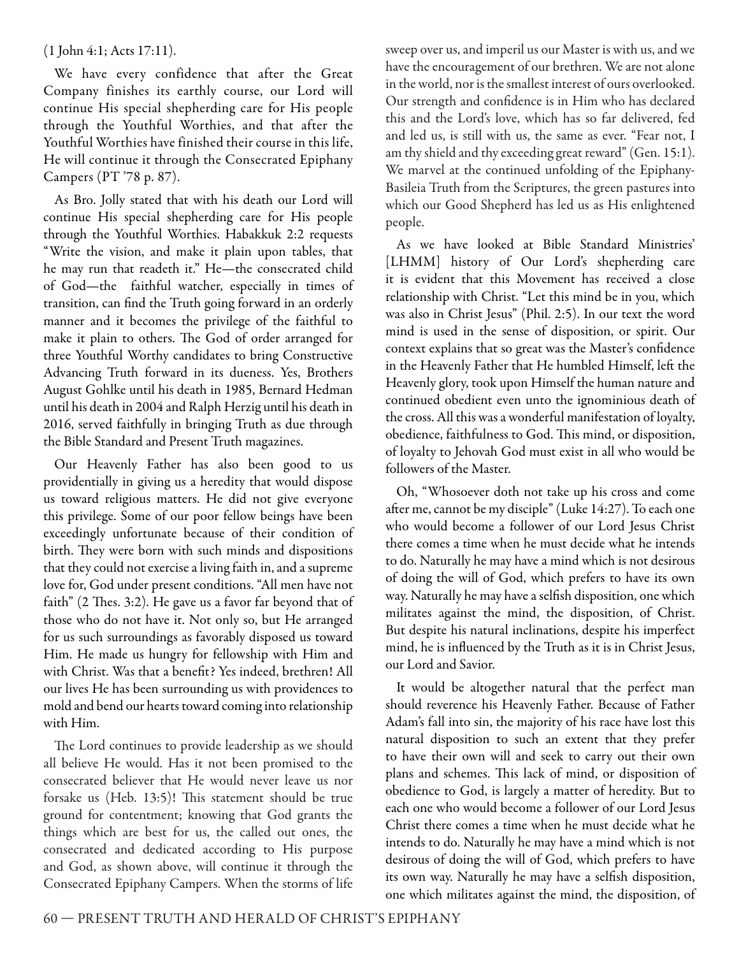#### (1 John 4:1; Acts 17:11).

We have every confidence that after the Great Company finishes its earthly course, our Lord will continue His special shepherding care for His people through the Youthful Worthies, and that after the Youthful Worthies have finished their course in this life, He will continue it through the Consecrated Epiphany Campers (PT '78 p. 87).

As Bro. Jolly stated that with his death our Lord will continue His special shepherding care for His people through the Youthful Worthies. Habakkuk 2:2 requests "Write the vision, and make it plain upon tables, that he may run that readeth it." He—the consecrated child of God—the faithful watcher, especially in times of transition, can find the Truth going forward in an orderly manner and it becomes the privilege of the faithful to make it plain to others. The God of order arranged for three Youthful Worthy candidates to bring Constructive Advancing Truth forward in its dueness. Yes, Brothers August Gohlke until his death in 1985, Bernard Hedman until his death in 2004 and Ralph Herzig until his death in 2016, served faithfully in bringing Truth as due through the Bible Standard and Present Truth magazines.

Our Heavenly Father has also been good to us providentially in giving us a heredity that would dispose us toward religious matters. He did not give everyone this privilege. Some of our poor fellow beings have been exceedingly unfortunate because of their condition of birth. They were born with such minds and dispositions that they could not exercise a living faith in, and a supreme love for, God under present conditions. "All men have not faith" (2 Thes. 3:2). He gave us a favor far beyond that of those who do not have it. Not only so, but He arranged for us such surroundings as favorably disposed us toward Him. He made us hungry for fellowship with Him and with Christ. Was that a benefit? Yes indeed, brethren! All our lives He has been surrounding us with providences to mold and bend our hearts toward coming into relationship with Him.

The Lord continues to provide leadership as we should all believe He would. Has it not been promised to the consecrated believer that He would never leave us nor forsake us (Heb. 13:5)! This statement should be true ground for contentment; knowing that God grants the things which are best for us, the called out ones, the consecrated and dedicated according to His purpose and God, as shown above, will continue it through the Consecrated Epiphany Campers. When the storms of life

sweep over us, and imperil us our Master is with us, and we have the encouragement of our brethren. We are not alone in the world, nor is the smallest interest of ours overlooked. Our strength and confidence is in Him who has declared this and the Lord's love, which has so far delivered, fed and led us, is still with us, the same as ever. "Fear not, I am thy shield and thy exceeding great reward" (Gen. 15:1). We marvel at the continued unfolding of the Epiphany-Basileia Truth from the Scriptures, the green pastures into which our Good Shepherd has led us as His enlightened people.

As we have looked at Bible Standard Ministries' [LHMM] history of Our Lord's shepherding care it is evident that this Movement has received a close relationship with Christ. "Let this mind be in you, which was also in Christ Jesus" (Phil. 2:5). In our text the word mind is used in the sense of disposition, or spirit. Our context explains that so great was the Master's confidence in the Heavenly Father that He humbled Himself, left the Heavenly glory, took upon Himself the human nature and continued obedient even unto the ignominious death of the cross. All this was a wonderful manifestation of loyalty, obedience, faithfulness to God. This mind, or disposition, of loyalty to Jehovah God must exist in all who would be followers of the Master.

Oh, "Whosoever doth not take up his cross and come after me, cannot be my disciple" (Luke 14:27). To each one who would become a follower of our Lord Jesus Christ there comes a time when he must decide what he intends to do. Naturally he may have a mind which is not desirous of doing the will of God, which prefers to have its own way. Naturally he may have a selfish disposition, one which militates against the mind, the disposition, of Christ. But despite his natural inclinations, despite his imperfect mind, he is influenced by the Truth as it is in Christ Jesus, our Lord and Savior.

It would be altogether natural that the perfect man should reverence his Heavenly Father. Because of Father Adam's fall into sin, the majority of his race have lost this natural disposition to such an extent that they prefer to have their own will and seek to carry out their own plans and schemes. This lack of mind, or disposition of obedience to God, is largely a matter of heredity. But to each one who would become a follower of our Lord Jesus Christ there comes a time when he must decide what he intends to do. Naturally he may have a mind which is not desirous of doing the will of God, which prefers to have its own way. Naturally he may have a selfish disposition, one which militates against the mind, the disposition, of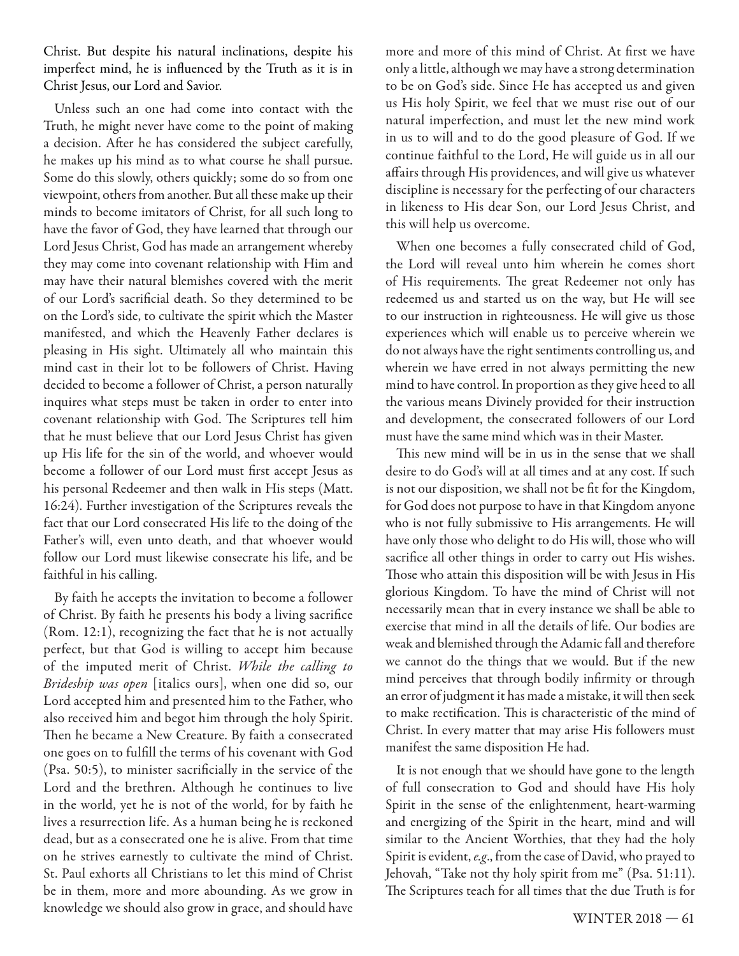Christ. But despite his natural inclinations, despite his imperfect mind, he is influenced by the Truth as it is in Christ Jesus, our Lord and Savior.

Unless such an one had come into contact with the Truth, he might never have come to the point of making a decision. After he has considered the subject carefully, he makes up his mind as to what course he shall pursue. Some do this slowly, others quickly; some do so from one viewpoint, others from another. But all these make up their minds to become imitators of Christ, for all such long to have the favor of God, they have learned that through our Lord Jesus Christ, God has made an arrangement whereby they may come into covenant relationship with Him and may have their natural blemishes covered with the merit of our Lord's sacrificial death. So they determined to be on the Lord's side, to cultivate the spirit which the Master manifested, and which the Heavenly Father declares is pleasing in His sight. Ultimately all who maintain this mind cast in their lot to be followers of Christ. Having decided to become a follower of Christ, a person naturally inquires what steps must be taken in order to enter into covenant relationship with God. The Scriptures tell him that he must believe that our Lord Jesus Christ has given up His life for the sin of the world, and whoever would become a follower of our Lord must first accept Jesus as his personal Redeemer and then walk in His steps (Matt. 16:24). Further investigation of the Scriptures reveals the fact that our Lord consecrated His life to the doing of the Father's will, even unto death, and that whoever would follow our Lord must likewise consecrate his life, and be faithful in his calling.

By faith he accepts the invitation to become a follower of Christ. By faith he presents his body a living sacrifice (Rom. 12:1), recognizing the fact that he is not actually perfect, but that God is willing to accept him because of the imputed merit of Christ. While the calling to Brideship was open [italics ours], when one did so, our Lord accepted him and presented him to the Father, who also received him and begot him through the holy Spirit. Then he became a New Creature. By faith a consecrated one goes on to fulfill the terms of his covenant with God (Psa.  $50:5$ ), to minister sacrificially in the service of the Lord and the brethren. Although he continues to live in the world, yet he is not of the world, for by faith he lives a resurrection life. As a human being he is reckoned dead, but as a consecrated one he is alive. From that time on he strives earnestly to cultivate the mind of Christ. St. Paul exhorts all Christians to let this mind of Christ be in them, more and more abounding. As we grow in knowledge we should also grow in grace, and should have

more and more of this mind of Christ. At first we have only a little, although we may have a strong determination to be on God's side. Since He has accepted us and given us His holy Spirit, we feel that we must rise out of our natural imperfection, and must let the new mind work in us to will and to do the good pleasure of God. If we continue faithful to the Lord, He will guide us in all our affairs through His providences, and will give us whatever discipline is necessary for the perfecting of our characters in likeness to His dear Son, our Lord Jesus Christ, and this will help us overcome.

When one becomes a fully consecrated child of God, the Lord will reveal unto him wherein he comes short of His requirements. The great Redeemer not only has redeemed us and started us on the way, but He will see to our instruction in righteousness. He will give us those experiences which will enable us to perceive wherein we do not always have the right sentiments controlling us, and wherein we have erred in not always permitting the new mind to have control. In proportion as they give heed to all the various means Divinely provided for their instruction and development, the consecrated followers of our Lord must have the same mind which was in their Master.

This new mind will be in us in the sense that we shall desire to do God's will at all times and at any cost. If such is not our disposition, we shall not be fit for the Kingdom, for God does not purpose to have in that Kingdom anyone who is not fully submissive to His arrangements. He will have only those who delight to do His will, those who will sacrifice all other things in order to carry out His wishes. Those who attain this disposition will be with Jesus in His glorious Kingdom. To have the mind of Christ will not necessarily mean that in every instance we shall be able to exercise that mind in all the details of life. Our bodies are weak and blemished through the Adamic fall and therefore we cannot do the things that we would. But if the new mind perceives that through bodily infirmity or through an error of judgment it has made a mistake, it will then seek to make rectification. This is characteristic of the mind of Christ. In every matter that may arise His followers must manifest the same disposition He had.

It is not enough that we should have gone to the length of full consecration to God and should have His holy Spirit in the sense of the enlightenment, heart-warming and energizing of the Spirit in the heart, mind and will similar to the Ancient Worthies, that they had the holy Spirit is evident, e.g., from the case of David, who prayed to Jehovah, "Take not thy holy spirit from me" (Psa. 51:11). The Scriptures teach for all times that the due Truth is for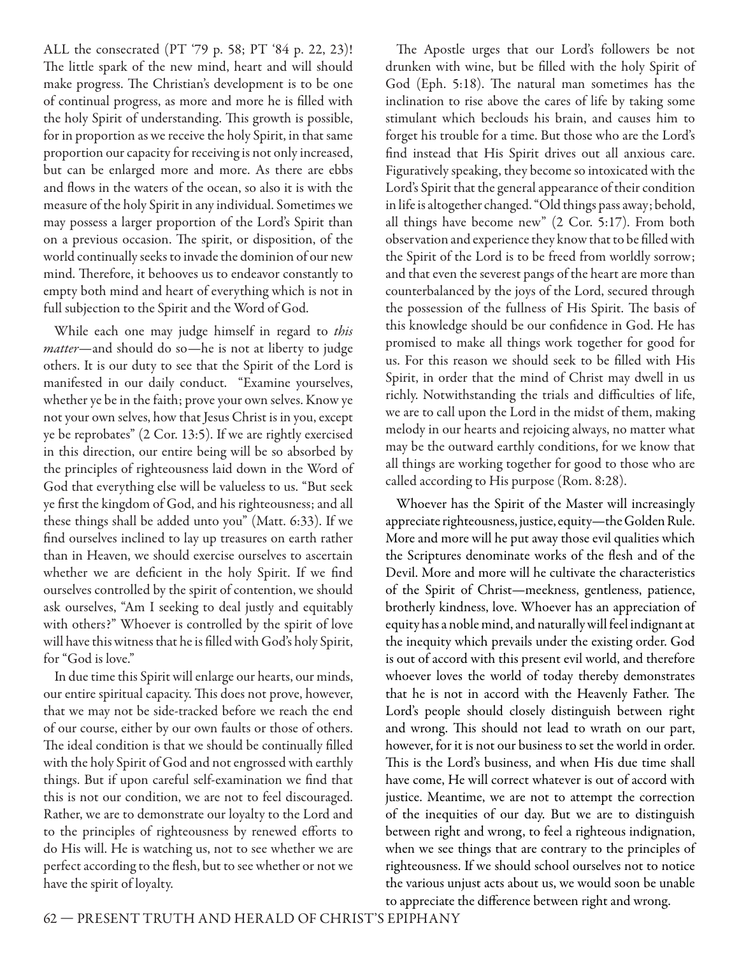ALL the consecrated (PT '79 p. 58; PT '84 p. 22, 23)! The little spark of the new mind, heart and will should make progress. The Christian's development is to be one of continual progress, as more and more he is filled with the holy Spirit of understanding. This growth is possible, for in proportion as we receive the holy Spirit, in that same proportion our capacity for receiving is not only increased, but can be enlarged more and more. As there are ebbs and flows in the waters of the ocean, so also it is with the measure of the holy Spirit in any individual. Sometimes we may possess a larger proportion of the Lord's Spirit than on a previous occasion. The spirit, or disposition, of the world continually seeks to invade the dominion of our new mind. Therefore, it behooves us to endeavor constantly to empty both mind and heart of everything which is not in full subjection to the Spirit and the Word of God.

While each one may judge himself in regard to this matter—and should do so—he is not at liberty to judge others. It is our duty to see that the Spirit of the Lord is manifested in our daily conduct. "Examine yourselves, whether ye be in the faith; prove your own selves. Know ye not your own selves, how that Jesus Christ is in you, except ye be reprobates" (2 Cor. 13:5). If we are rightly exercised in this direction, our entire being will be so absorbed by the principles of righteousness laid down in the Word of God that everything else will be valueless to us. "But seek ye first the kingdom of God, and his righteousness; and all these things shall be added unto you" (Matt. 6:33). If we find ourselves inclined to lay up treasures on earth rather than in Heaven, we should exercise ourselves to ascertain whether we are deficient in the holy Spirit. If we find ourselves controlled by the spirit of contention, we should ask ourselves, "Am I seeking to deal justly and equitably with others?" Whoever is controlled by the spirit of love will have this witness that he is filled with God's holy Spirit, for "God is love."

In due time this Spirit will enlarge our hearts, our minds, our entire spiritual capacity. This does not prove, however, that we may not be side-tracked before we reach the end of our course, either by our own faults or those of others. The ideal condition is that we should be continually filled with the holy Spirit of God and not engrossed with earthly things. But if upon careful self-examination we find that this is not our condition, we are not to feel discouraged. Rather, we are to demonstrate our loyalty to the Lord and to the principles of righteousness by renewed efforts to do His will. He is watching us, not to see whether we are perfect according to the flesh, but to see whether or not we have the spirit of loyalty.

The Apostle urges that our Lord's followers be not drunken with wine, but be filled with the holy Spirit of God (Eph. 5:18). The natural man sometimes has the inclination to rise above the cares of life by taking some stimulant which beclouds his brain, and causes him to forget his trouble for a time. But those who are the Lord's find instead that His Spirit drives out all anxious care. Figuratively speaking, they become so intoxicated with the Lord's Spirit that the general appearance of their condition in life is altogether changed. "Old things pass away; behold, all things have become new" (2 Cor. 5:17). From both observation and experience they know that to be filled with the Spirit of the Lord is to be freed from worldly sorrow; and that even the severest pangs of the heart are more than counterbalanced by the joys of the Lord, secured through the possession of the fullness of His Spirit. The basis of this knowledge should be our confidence in God. He has promised to make all things work together for good for us. For this reason we should seek to be filled with His Spirit, in order that the mind of Christ may dwell in us richly. Notwithstanding the trials and difficulties of life, we are to call upon the Lord in the midst of them, making melody in our hearts and rejoicing always, no matter what may be the outward earthly conditions, for we know that all things are working together for good to those who are called according to His purpose (Rom. 8:28).

Whoever has the Spirit of the Master will increasingly appreciate righteousness, justice, equity—the Golden Rule. More and more will he put away those evil qualities which the Scriptures denominate works of the flesh and of the Devil. More and more will he cultivate the characteristics of the Spirit of Christ—meekness, gentleness, patience, brotherly kindness, love. Whoever has an appreciation of equity has a noble mind, and naturally will feel indignant at the inequity which prevails under the existing order. God is out of accord with this present evil world, and therefore whoever loves the world of today thereby demonstrates that he is not in accord with the Heavenly Father. The Lord's people should closely distinguish between right and wrong. This should not lead to wrath on our part, however, for it is not our business to set the world in order. This is the Lord's business, and when His due time shall have come, He will correct whatever is out of accord with justice. Meantime, we are not to attempt the correction of the inequities of our day. But we are to distinguish between right and wrong, to feel a righteous indignation, when we see things that are contrary to the principles of righteousness. If we should school ourselves not to notice the various unjust acts about us, we would soon be unable to appreciate the difference between right and wrong.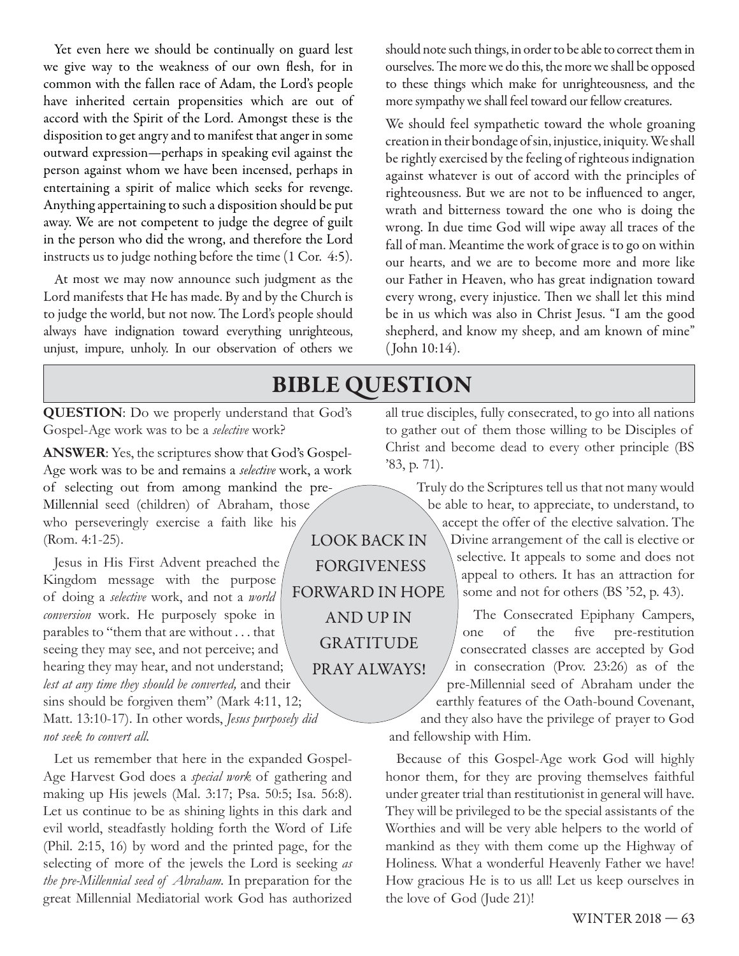Yet even here we should be continually on guard lest we give way to the weakness of our own flesh, for in common with the fallen race of Adam, the Lord's people have inherited certain propensities which are out of accord with the Spirit of the Lord. Amongst these is the disposition to get angry and to manifest that anger in some outward expression—perhaps in speaking evil against the person against whom we have been incensed, perhaps in entertaining a spirit of malice which seeks for revenge. Anything appertaining to such a disposition should be put away. We are not competent to judge the degree of guilt in the person who did the wrong, and therefore the Lord instructs us to judge nothing before the time (1 Cor. 4:5).

At most we may now announce such judgment as the Lord manifests that He has made. By and by the Church is to judge the world, but not now. The Lord's people should always have indignation toward everything unrighteous, unjust, impure, unholy. In our observation of others we

should note such things, in order to be able to correct them in ourselves. The more we do this, the more we shall be opposed to these things which make for unrighteousness, and the more sympathy we shall feel toward our fellow creatures.

We should feel sympathetic toward the whole groaning creation in their bondage of sin, injustice, iniquity. We shall be rightly exercised by the feeling of righteous indignation against whatever is out of accord with the principles of righteousness. But we are not to be influenced to anger, wrath and bitterness toward the one who is doing the wrong. In due time God will wipe away all traces of the fall of man. Meantime the work of grace is to go on within our hearts, and we are to become more and more like our Father in Heaven, who has great indignation toward every wrong, every injustice. Then we shall let this mind be in us which was also in Christ Jesus. "I am the good shepherd, and know my sheep, and am known of mine" ( John 10:14).

## **BIBLE QUESTION**

 **QUESTION**: Do we properly understand that God's Gospel-Age work was to be a *selective* work?

**ANSWER**: Yes, the scriptures show that God's Gospel-Age work was to be and remains a *selective* work, a work of selecting out from among mankind the pre-Millennial seed (children) of Abraham, those who perseveringly exercise a faith like his (Rom. 4:1-25).

Jesus in His First Advent preached the Kingdom message with the purpose of doing a *selective* work, and not a *world conversion* work. He purposely spoke in parables to "them that are without . . . that seeing they may see, and not perceive; and hearing they may hear, and not understand; *lest at any time they should be converted,* and their sins should be forgiven them" (Mark 4:11, 12; Matt. 13:10-17). In other words, *Jesus purposely did not seek to convert all.*

Let us remember that here in the expanded Gospel-Age Harvest God does a *special work* of gathering and making up His jewels (Mal. 3:17; Psa. 50:5; Isa. 56:8). Let us continue to be as shining lights in this dark and evil world, steadfastly holding forth the Word of Life (Phil. 2:15, 16) by word and the printed page, for the selecting of more of the jewels the Lord is seeking *as the pre-Millennial seed of Abraham.* In preparation for the great Millennial Mediatorial work God has authorized all true disciples, fully consecrated, to go into all nations to gather out of them those willing to be Disciples of Christ and become dead to every other principle (BS '83, p. 71).

> Truly do the Scriptures tell us that not many would be able to hear, to appreciate, to understand, to accept the offer of the elective salvation. The Divine arrangement of the call is elective or selective. It appeals to some and does not appeal to others. It has an attraction for some and not for others (BS '52, p. 43).

The Consecrated Epiphany Campers, one of the five pre-restitution consecrated classes are accepted by God in consecration (Prov. 23:26) as of the pre-Millennial seed of Abraham under the earthly features of the Oath-bound Covenant, and they also have the privilege of prayer to God and fellowship with Him.

Because of this Gospel-Age work God will highly honor them, for they are proving themselves faithful under greater trial than restitutionist in general will have. They will be privileged to be the special assistants of the Worthies and will be very able helpers to the world of mankind as they with them come up the Highway of Holiness. What a wonderful Heavenly Father we have! How gracious He is to us all! Let us keep ourselves in the love of God (Jude 21)!

LOOK BACK IN FORGIVENESS FORWARD IN HOPE AND UP IN GRATITUDE PRAY ALWAYS!